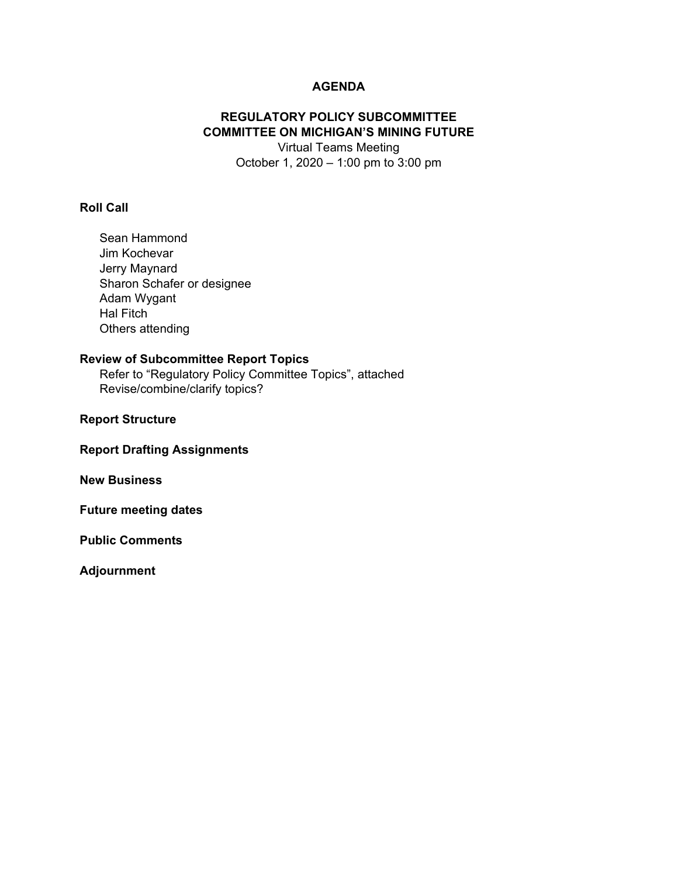# **AGENDA**

# **REGULATORY POLICY SUBCOMMITTEE COMMITTEE ON MICHIGAN'S MINING FUTURE**

Virtual Teams Meeting October 1, 2020 – 1:00 pm to 3:00 pm

## **Roll Call**

Sean Hammond Jim Kochevar Jerry Maynard Sharon Schafer or designee Adam Wygant Hal Fitch Others attending

#### **Review of Subcommittee Report Topics**

Refer to "Regulatory Policy Committee Topics", attached Revise/combine/clarify topics?

#### **Report Structure**

**Report Drafting Assignments** 

**New Business** 

**Future meeting dates** 

**Public Comments** 

**Adjournment**